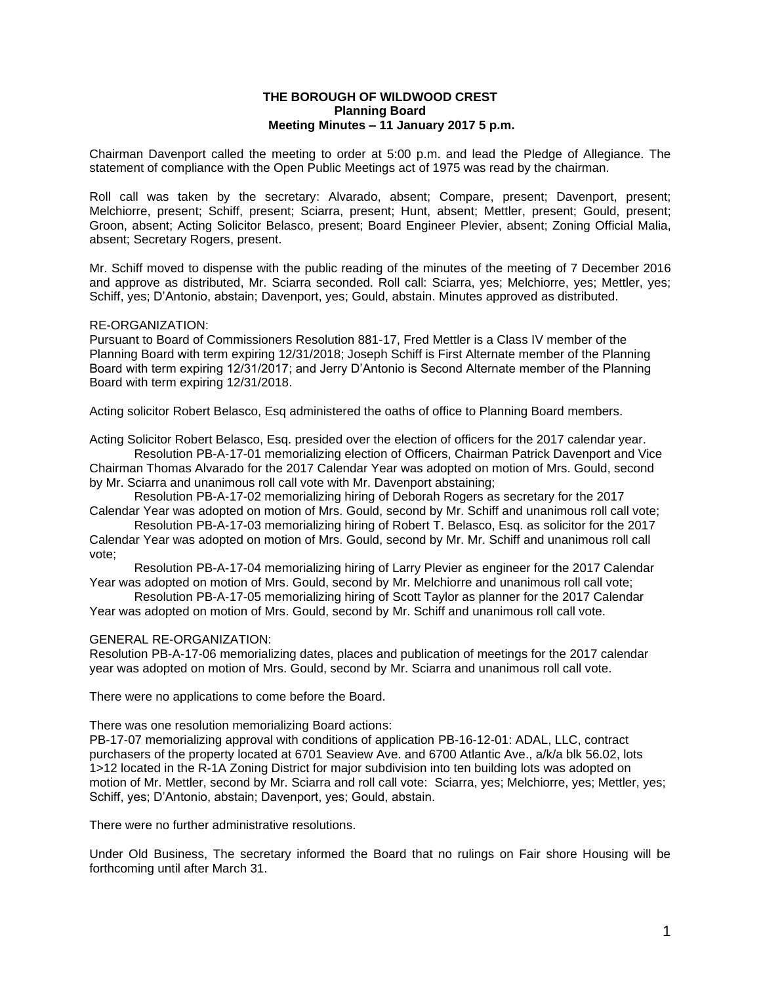## **THE BOROUGH OF WILDWOOD CREST Planning Board Meeting Minutes – 11 January 2017 5 p.m.**

Chairman Davenport called the meeting to order at 5:00 p.m. and lead the Pledge of Allegiance. The statement of compliance with the Open Public Meetings act of 1975 was read by the chairman.

Roll call was taken by the secretary: Alvarado, absent; Compare, present; Davenport, present; Melchiorre, present; Schiff, present; Sciarra, present; Hunt, absent; Mettler, present; Gould, present; Groon, absent; Acting Solicitor Belasco, present; Board Engineer Plevier, absent; Zoning Official Malia, absent; Secretary Rogers, present.

Mr. Schiff moved to dispense with the public reading of the minutes of the meeting of 7 December 2016 and approve as distributed, Mr. Sciarra seconded. Roll call: Sciarra, yes; Melchiorre, yes; Mettler, yes; Schiff, yes; D'Antonio, abstain; Davenport, yes; Gould, abstain. Minutes approved as distributed.

## RE-ORGANIZATION:

Pursuant to Board of Commissioners Resolution 881-17, Fred Mettler is a Class IV member of the Planning Board with term expiring 12/31/2018; Joseph Schiff is First Alternate member of the Planning Board with term expiring 12/31/2017; and Jerry D'Antonio is Second Alternate member of the Planning Board with term expiring 12/31/2018.

Acting solicitor Robert Belasco, Esq administered the oaths of office to Planning Board members.

Acting Solicitor Robert Belasco, Esq. presided over the election of officers for the 2017 calendar year. Resolution PB-A-17-01 memorializing election of Officers, Chairman Patrick Davenport and Vice Chairman Thomas Alvarado for the 2017 Calendar Year was adopted on motion of Mrs. Gould, second

by Mr. Sciarra and unanimous roll call vote with Mr. Davenport abstaining;

Resolution PB-A-17-02 memorializing hiring of Deborah Rogers as secretary for the 2017 Calendar Year was adopted on motion of Mrs. Gould, second by Mr. Schiff and unanimous roll call vote;

Resolution PB-A-17-03 memorializing hiring of Robert T. Belasco, Esq. as solicitor for the 2017 Calendar Year was adopted on motion of Mrs. Gould, second by Mr. Mr. Schiff and unanimous roll call vote;

Resolution PB-A-17-04 memorializing hiring of Larry Plevier as engineer for the 2017 Calendar Year was adopted on motion of Mrs. Gould, second by Mr. Melchiorre and unanimous roll call vote;

Resolution PB-A-17-05 memorializing hiring of Scott Taylor as planner for the 2017 Calendar Year was adopted on motion of Mrs. Gould, second by Mr. Schiff and unanimous roll call vote.

## GENERAL RE-ORGANIZATION:

Resolution PB-A-17-06 memorializing dates, places and publication of meetings for the 2017 calendar year was adopted on motion of Mrs. Gould, second by Mr. Sciarra and unanimous roll call vote.

There were no applications to come before the Board.

There was one resolution memorializing Board actions:

PB-17-07 memorializing approval with conditions of application PB-16-12-01: ADAL, LLC, contract purchasers of the property located at 6701 Seaview Ave. and 6700 Atlantic Ave., a/k/a blk 56.02, lots 1>12 located in the R-1A Zoning District for major subdivision into ten building lots was adopted on motion of Mr. Mettler, second by Mr. Sciarra and roll call vote: Sciarra, yes; Melchiorre, yes; Mettler, yes; Schiff, yes; D'Antonio, abstain; Davenport, yes; Gould, abstain.

There were no further administrative resolutions.

Under Old Business, The secretary informed the Board that no rulings on Fair shore Housing will be forthcoming until after March 31.